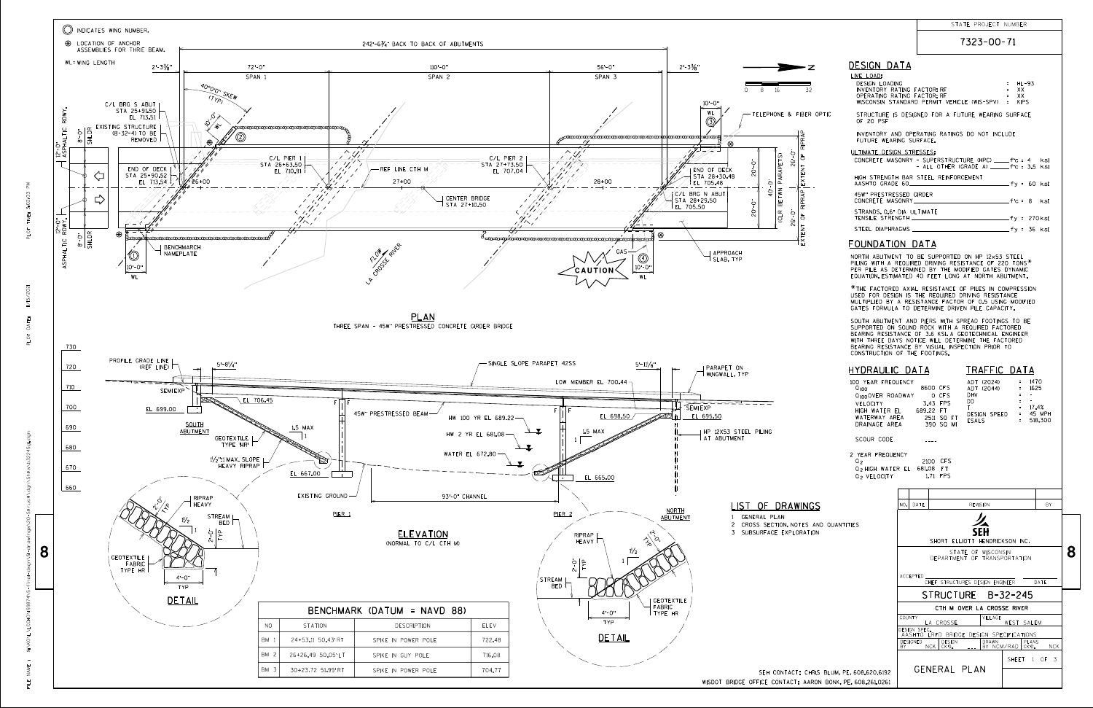|                            |                                                                                                                                                                                                                                                                                                              |                        |                                                 | 7323-00-71                                                                     |                                          |            |   |
|----------------------------|--------------------------------------------------------------------------------------------------------------------------------------------------------------------------------------------------------------------------------------------------------------------------------------------------------------|------------------------|-------------------------------------------------|--------------------------------------------------------------------------------|------------------------------------------|------------|---|
| ·z                         | <b>DESIGN DATA</b><br>LIVE LOAD:                                                                                                                                                                                                                                                                             |                        |                                                 |                                                                                |                                          |            |   |
| 32                         | <b>DESIGN LOADING</b><br>INVENTORY RATING FACTOR: RF<br>OPERATING RATING FACTOR: RF                                                                                                                                                                                                                          |                        |                                                 | WISCONSIN STANDARD PERMIT VEHICLE (WIS-SPV) = KIPS                             | HL-93<br>$=$<br>XX<br>$\equiv$<br>XX     |            |   |
| ER OPTIC                   | OF 20 PSF                                                                                                                                                                                                                                                                                                    |                        |                                                 | STRUCTURE IS DESIGNED FOR A FUTURE WEARING SURFACE                             |                                          |            |   |
|                            | FUTURE WEARING SURFACE.                                                                                                                                                                                                                                                                                      |                        |                                                 | INVENTORY AND OPERATING RATINGS DO NOT INCLUDE                                 |                                          |            |   |
|                            | ULTIMATE DESIGN STRESSES:<br>CONCRETE MASONRY - SUPERSTRUCTURE (HPC) _____f'c = 4                                                                                                                                                                                                                            |                        |                                                 | - ALL OTHER (GRADE A) $f'c = 3.5$ ksi                                          |                                          | ksi        |   |
|                            | HIGH STRENGTH BAR STEEL REINFORCEMENT<br>AASHTO GRADE 60_________                                                                                                                                                                                                                                            |                        |                                                 |                                                                                |                                          |            |   |
|                            | 45W" PRESTRESSED GIRDER<br>CONCRETE MASONRY _______                                                                                                                                                                                                                                                          |                        |                                                 | $f'c = 8$ ksi                                                                  |                                          |            |   |
|                            | STRANDS, 0.6" DIA ULTIMATE                                                                                                                                                                                                                                                                                   |                        |                                                 |                                                                                |                                          |            |   |
|                            |                                                                                                                                                                                                                                                                                                              |                        |                                                 |                                                                                |                                          |            |   |
|                            | <b>FOUNDATION DATA</b>                                                                                                                                                                                                                                                                                       |                        |                                                 |                                                                                |                                          |            |   |
|                            | NORTH ABUTMENT TO BE SUPPORTED ON HP 12x53 STEEL<br>PILING WITH A REQUIRED DRIVING RESISTANCE OF 220 TONS*<br>PER PILE AS DETERMINED BY THE MODIFIED GATES DYNAMIC<br>EQUATION, ESTIMATED 40 FEET LONG AT NORTH ABUTMENT.                                                                                    |                        |                                                 |                                                                                |                                          |            |   |
|                            | *THE FACTORED AXIAL RESISTANCE OF PILES IN COMPRESSION<br>USED FOR DESIGN IS THE REQUIRED DRIVING RESISTANCE<br>MULTIPLIED BY A RESISTANCE FACTOR OF 0.5 USING MODIFIED<br>GATES FORMULA TO DETERMINE DRIVEN PILE CAPACITY.                                                                                  |                        |                                                 |                                                                                |                                          |            |   |
|                            | SOUTH ABUTMENT AND PIERS WITH SPREAD FOOTINGS TO BE<br>SUPPORTED ON SOUND ROCK WITH A REQUIRED FACTORED<br>BEARING RESISTANCE OF 3.6 KSI. A GEOTECHNICAL ENGINEER<br>WITH THREE DAYS NOTICE WILL DETERMINE THE FACTORED<br>BEARING RESISTANCE BY VISUAL INSPECTION PRIOR TO<br>CONSTRUCTION OF THE FOOTINGS. |                        |                                                 |                                                                                |                                          |            |   |
|                            | <u>HYDRAULIC DATA</u><br>100 YEAR FREQUENCY<br>$0_{100}$<br>Q <sub>100</sub> OVER ROADWAY OCFS<br>VELOCITY<br>HIGH WATER EL 689.22 FT<br>WATERWAY AREA<br>DRAINAGE AREA                                                                                                                                      |                        | 8600 CFS<br>3.43 FPS<br>2511 SQ FT<br>390 SO MI | TRAFFIC DATA<br>ADT (2024) = 1470<br>ADT (2044) = 1625<br>DHV = -<br>DHV<br>DD | $\sim$ $\pm$<br>٠.<br>$\sim$<br>$\equiv$ |            |   |
|                            | SCOUR CODE                                                                                                                                                                                                                                                                                                   |                        |                                                 |                                                                                |                                          |            |   |
|                            | 2 YEAR FREQUENCY<br>Q <sub>2</sub><br>Q <sub>2</sub> HIGH WATER EL 681.08 FT<br>0, VELOCITY                                                                                                                                                                                                                  |                        | 2100 CFS<br>1.71 FPS                            |                                                                                |                                          |            |   |
|                            |                                                                                                                                                                                                                                                                                                              |                        |                                                 |                                                                                |                                          |            |   |
| NGS                        |                                                                                                                                                                                                                                                                                                              | NO.<br>DATE            |                                                 | <b>REVISION</b>                                                                |                                          | BY         |   |
| S AND QUANTITIES<br>A TION |                                                                                                                                                                                                                                                                                                              |                        |                                                 | SHORT ELLIOTT HENDRICKSON INC.                                                 |                                          |            |   |
|                            |                                                                                                                                                                                                                                                                                                              |                        |                                                 | STATE OF WISCONSIN<br>DEPARTMENT OF TRANSPORTATION                             |                                          |            | 8 |
|                            |                                                                                                                                                                                                                                                                                                              | ACCEPTED               |                                                 | CHIEF STRUCTURES DESIGN ENGINEER                                               |                                          | DATE       |   |
|                            |                                                                                                                                                                                                                                                                                                              |                        |                                                 | STRUCTURE B-32-245                                                             |                                          |            |   |
|                            |                                                                                                                                                                                                                                                                                                              |                        |                                                 | CTH M OVER LA CROSSE RIVER                                                     |                                          |            |   |
|                            |                                                                                                                                                                                                                                                                                                              | COUNTY<br>DESIGN SPEC. | LA CROSSE                                       | VILLAGE                                                                        | WEST SALEM                               |            |   |
|                            |                                                                                                                                                                                                                                                                                                              | <b>DESIGNED</b><br>ΒY  | DESIGN<br>NCK.<br>CK'D.                         | AASHTO LRFD BRIDGE DESIGN SPECIFICATIONS<br>DRAWN                              | PLANS<br>BY NCM/RAD  <br>CK D.           | <b>NCK</b> |   |
|                            | CHRIS BLUM PE 608.620.6192<br>AARON BONK, PE,608.261.0261                                                                                                                                                                                                                                                    |                        | GENERAL PLAN                                    |                                                                                | SHEET 1 OF                               | 3          |   |



7323-00-71

FILE NAME : PLOT TIME: X:\KO\L\LCCHD\159874\5-final-dsgn\51-drawings\20-Struct\dgn\Shts\b32245g1.dgn 11/15/2021 PLOT DATE: 3:02:03 PM

ts\b32245g

Š

**NAME** 픻

 $\sum_{\Delta}$ 3:02:03

TIME:

 $PLOT$ 

II/15/2021

DATE: PLOT

| STATE PROJECT NUMBER |  |
|----------------------|--|
|                      |  |